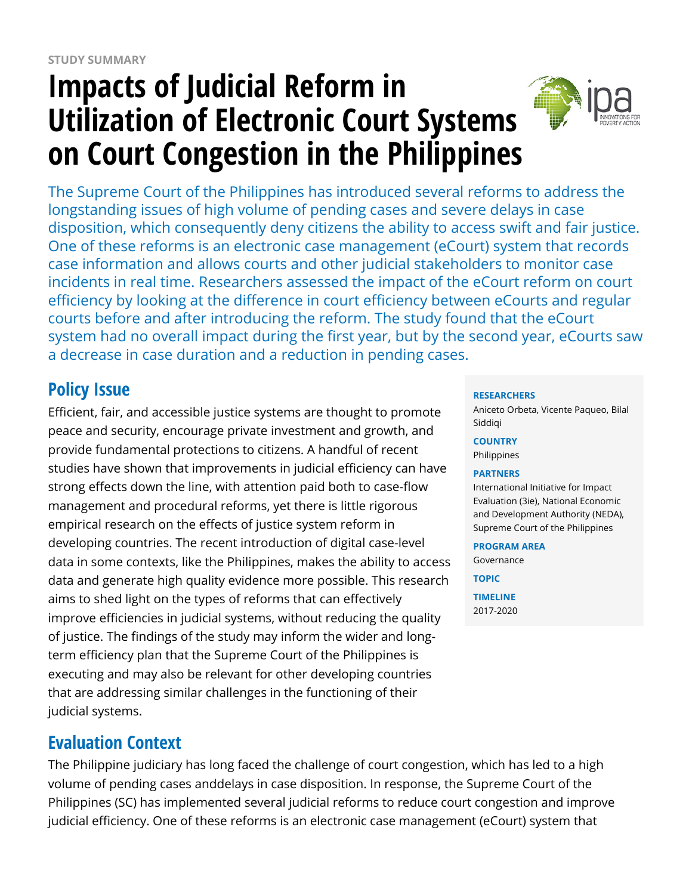# **Impacts of Judicial Reform in Utilization of Electronic Court Systems on Court Congestion in the Philippines**



The Supreme Court of the Philippines has introduced several reforms to address the longstanding issues of high volume of pending cases and severe delays in case disposition, which consequently deny citizens the ability to access swift and fair justice. One of these reforms is an electronic case management (eCourt) system that records case information and allows courts and other judicial stakeholders to monitor case incidents in real time. Researchers assessed the impact of the eCourt reform on court efficiency by looking at the difference in court efficiency between eCourts and regular courts before and after introducing the reform. The study found that the eCourt system had no overall impact during the first year, but by the second year, eCourts saw a decrease in case duration and a reduction in pending cases.

# **Policy Issue**

Efficient, fair, and accessible justice systems are thought to promote peace and security, encourage private investment and growth, and provide fundamental protections to citizens. A handful of recent studies have shown that improvements in judicial efficiency can have strong effects down the line, with attention paid both to case-flow management and procedural reforms, yet there is little rigorous empirical research on the effects of justice system reform in developing countries. The recent introduction of digital case-level data in some contexts, like the Philippines, makes the ability to access data and generate high quality evidence more possible. This research aims to shed light on the types of reforms that can effectively improve efficiencies in judicial systems, without reducing the quality of justice. The findings of the study may inform the wider and longterm efficiency plan that the Supreme Court of the Philippines is executing and may also be relevant for other developing countries that are addressing similar challenges in the functioning of their judicial systems.

### **Evaluation Context**

The Philippine judiciary has long faced the challenge of court congestion, which has led to a high volume of pending cases anddelays in case disposition. In response, the Supreme Court of the Philippines (SC) has implemented several judicial reforms to reduce court congestion and improve judicial efficiency. One of these reforms is an electronic case management (eCourt) system that

### **RESEARCHERS**

Aniceto Orbeta, Vicente Paqueo, Bilal Siddiqi

**COUNTRY** Philippines

### **PARTNERS**

International Initiative for Impact Evaluation (3ie), National Economic and Development Authority (NEDA), Supreme Court of the Philippines

### **PROGRAM AREA**

Governance **TOPIC TIMELINE** 2017-2020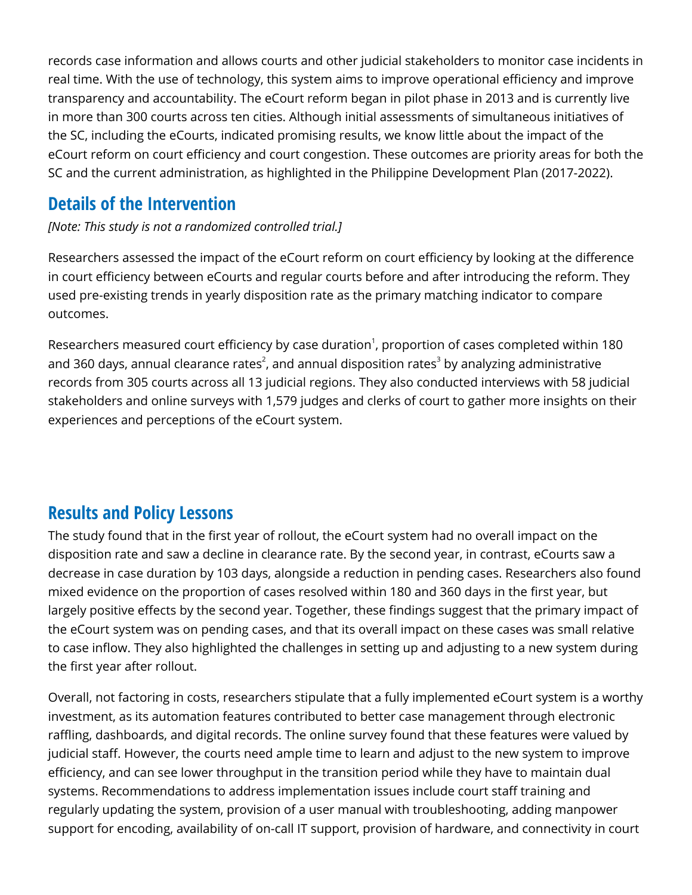records case information and allows courts and other judicial stakeholders to monitor case incidents in real time. With the use of technology, this system aims to improve operational efficiency and improve transparency and accountability. The eCourt reform began in pilot phase in 2013 and is currently live in more than 300 courts across ten cities. Although initial assessments of simultaneous initiatives of the SC, including the eCourts, indicated promising results, we know little about the impact of the eCourt reform on court efficiency and court congestion. These outcomes are priority areas for both the SC and the current administration, as highlighted in the Philippine Development Plan (2017-2022).

### **Details of the Intervention**

*[Note: This study is not a randomized controlled trial.]*

Researchers assessed the impact of the eCourt reform on court efficiency by looking at the difference in court efficiency between eCourts and regular courts before and after introducing the reform. They used pre-existing trends in yearly disposition rate as the primary matching indicator to compare outcomes.

Researchers measured court efficiency by case duration $^1$ , proportion of cases completed within 180 and 360 days, annual clearance rates $^{\text{2}}$ , and annual disposition rates $^{\text{3}}$  by analyzing administrative records from 305 courts across all 13 judicial regions. They also conducted interviews with 58 judicial stakeholders and online surveys with 1,579 judges and clerks of court to gather more insights on their experiences and perceptions of the eCourt system.

# **Results and Policy Lessons**

The study found that in the first year of rollout, the eCourt system had no overall impact on the disposition rate and saw a decline in clearance rate. By the second year, in contrast, eCourts saw a decrease in case duration by 103 days, alongside a reduction in pending cases. Researchers also found mixed evidence on the proportion of cases resolved within 180 and 360 days in the first year, but largely positive effects by the second year. Together, these findings suggest that the primary impact of the eCourt system was on pending cases, and that its overall impact on these cases was small relative to case inflow. They also highlighted the challenges in setting up and adjusting to a new system during the first year after rollout.

Overall, not factoring in costs, researchers stipulate that a fully implemented eCourt system is a worthy investment, as its automation features contributed to better case management through electronic raffling, dashboards, and digital records. The online survey found that these features were valued by judicial staff. However, the courts need ample time to learn and adjust to the new system to improve efficiency, and can see lower throughput in the transition period while they have to maintain dual systems. Recommendations to address implementation issues include court staff training and regularly updating the system, provision of a user manual with troubleshooting, adding manpower support for encoding, availability of on-call IT support, provision of hardware, and connectivity in court